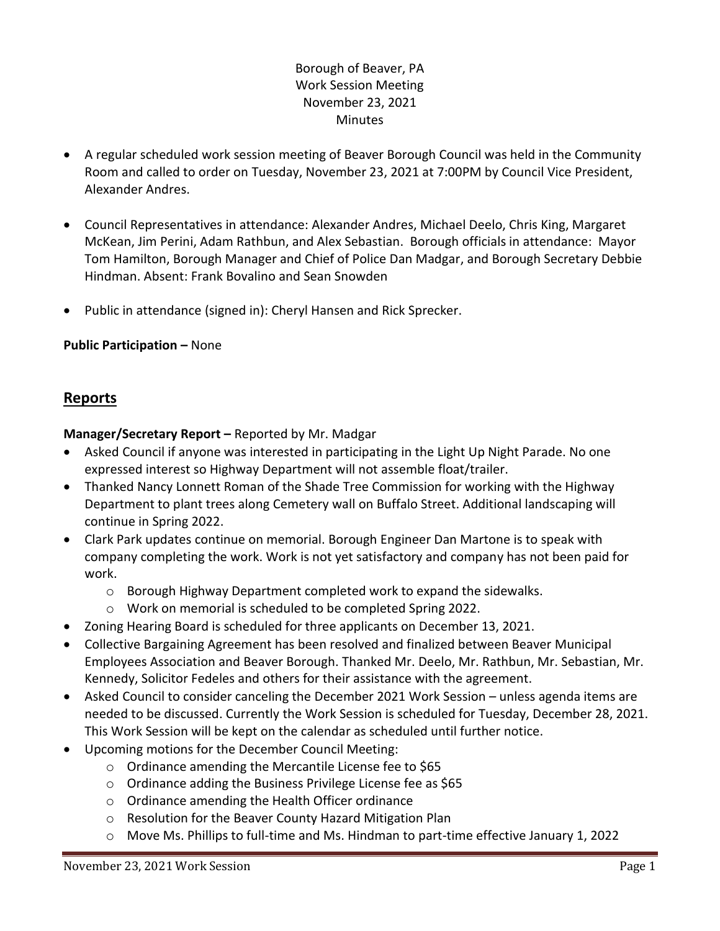# Borough of Beaver, PA Work Session Meeting November 23, 2021 Minutes

- A regular scheduled work session meeting of Beaver Borough Council was held in the Community Room and called to order on Tuesday, November 23, 2021 at 7:00PM by Council Vice President, Alexander Andres.
- Council Representatives in attendance: Alexander Andres, Michael Deelo, Chris King, Margaret McKean, Jim Perini, Adam Rathbun, and Alex Sebastian. Borough officials in attendance: Mayor Tom Hamilton, Borough Manager and Chief of Police Dan Madgar, and Borough Secretary Debbie Hindman. Absent: Frank Bovalino and Sean Snowden
- Public in attendance (signed in): Cheryl Hansen and Rick Sprecker.

## **Public Participation –** None

# **Reports**

## **Manager/Secretary Report –** Reported by Mr. Madgar

- Asked Council if anyone was interested in participating in the Light Up Night Parade. No one expressed interest so Highway Department will not assemble float/trailer.
- Thanked Nancy Lonnett Roman of the Shade Tree Commission for working with the Highway Department to plant trees along Cemetery wall on Buffalo Street. Additional landscaping will continue in Spring 2022.
- Clark Park updates continue on memorial. Borough Engineer Dan Martone is to speak with company completing the work. Work is not yet satisfactory and company has not been paid for work.
	- o Borough Highway Department completed work to expand the sidewalks.
	- o Work on memorial is scheduled to be completed Spring 2022.
- Zoning Hearing Board is scheduled for three applicants on December 13, 2021.
- Collective Bargaining Agreement has been resolved and finalized between Beaver Municipal Employees Association and Beaver Borough. Thanked Mr. Deelo, Mr. Rathbun, Mr. Sebastian, Mr. Kennedy, Solicitor Fedeles and others for their assistance with the agreement.
- Asked Council to consider canceling the December 2021 Work Session unless agenda items are needed to be discussed. Currently the Work Session is scheduled for Tuesday, December 28, 2021. This Work Session will be kept on the calendar as scheduled until further notice.
- Upcoming motions for the December Council Meeting:
	- o Ordinance amending the Mercantile License fee to \$65
	- o Ordinance adding the Business Privilege License fee as \$65
	- o Ordinance amending the Health Officer ordinance
	- o Resolution for the Beaver County Hazard Mitigation Plan
	- o Move Ms. Phillips to full-time and Ms. Hindman to part-time effective January 1, 2022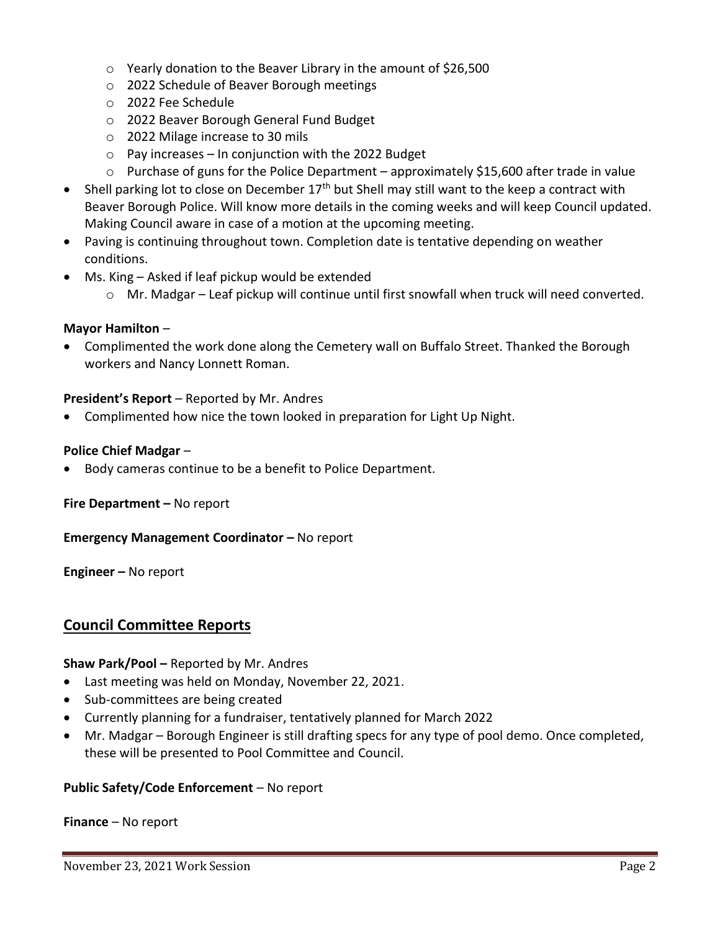- o Yearly donation to the Beaver Library in the amount of \$26,500
- o 2022 Schedule of Beaver Borough meetings
- o 2022 Fee Schedule
- o 2022 Beaver Borough General Fund Budget
- o 2022 Milage increase to 30 mils
- o Pay increases In conjunction with the 2022 Budget
- $\circ$  Purchase of guns for the Police Department approximately \$15,600 after trade in value
- Shell parking lot to close on December  $17<sup>th</sup>$  but Shell may still want to the keep a contract with Beaver Borough Police. Will know more details in the coming weeks and will keep Council updated. Making Council aware in case of a motion at the upcoming meeting.
- Paving is continuing throughout town. Completion date is tentative depending on weather conditions.
- Ms. King Asked if leaf pickup would be extended
	- $\circ$  Mr. Madgar Leaf pickup will continue until first snowfall when truck will need converted.

## **Mayor Hamilton** –

• Complimented the work done along the Cemetery wall on Buffalo Street. Thanked the Borough workers and Nancy Lonnett Roman.

#### **President's Report** – Reported by Mr. Andres

• Complimented how nice the town looked in preparation for Light Up Night.

#### **Police Chief Madgar** –

• Body cameras continue to be a benefit to Police Department.

**Fire Department –** No report

**Emergency Management Coordinator – No report** 

**Engineer –** No report

## **Council Committee Reports**

**Shaw Park/Pool –** Reported by Mr. Andres

- Last meeting was held on Monday, November 22, 2021.
- Sub-committees are being created
- Currently planning for a fundraiser, tentatively planned for March 2022
- Mr. Madgar Borough Engineer is still drafting specs for any type of pool demo. Once completed, these will be presented to Pool Committee and Council.

## **Public Safety/Code Enforcement** – No report

**Finance** – No report